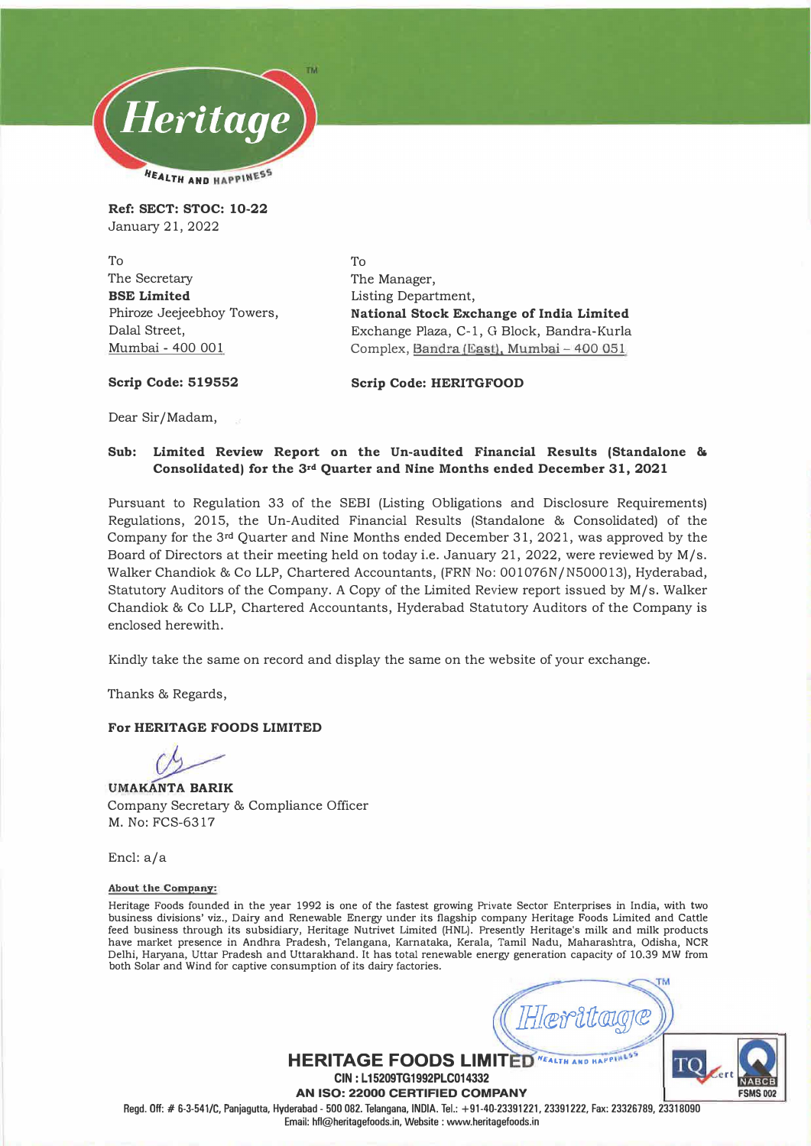

**Ref: SECT: STOC: 10-22**  January 21, 2022

To The Secretary **BSE Limited**  Phiroze Jeejeebhoy Towers, Dalal Street, Mumbai - 400 001

To The Manager, Listing Department, **National Stock Exchange of India Limited**  Exchange Plaza, C-1, G Block, Bandra -Kurla Complex, Sandra (East), Mumbai - 400 051

**Scrip Code: 519552** 

**Scrip Code: HERITGFOOD** 

Dear Sir/ Madam,

### **Sub: Limited Review Report on the Un-audited Financial Results (Standalone & Consolidated) for the 3rd Quarter and Nine Months ended December 31, 2021**

Pursuant to Regulation 33 of the SEBI (Listing Obligations and Disclosure Requirements) Regulations, 2015, the Un-Audited Financial Results (Standalone **&** Consolidated) of the Company for the 3**rd** Quarter and Nine Months ended December 31, 2021, was approved by the Board of Directors at their meeting held on today i.e. January 21, 2022, were reviewed by M/s. Walker Chandiok & Co LLP, Chartered Accountants, (FRN No: 001076N/N500013), Hyderabad, Statutory Auditors of the Company. A Copy of the Limited Review report issued by M/s. Walker Chandiok & Co LLP, Chartered Accountants, Hyderabad Statutory Auditors of the Company is enclosed herewith.

Kindly take the same on record and display the same on the website of your exchange.

Thanks **&** Regards,

#### **For HERITAGE FOODS LIMITED**

**UMAKANTA BARIK**  Company Secretary **&** Compliance Officer M. No: FCS-6317

Encl: a/a

#### **About the Company:**

Heritage Foods founded in the year 1992 is one of the fastest growing Private Sector Enterprises in India, with two business divisions' viz., Dairy and Renewable Energy under its flagship company Heritage Foods Limited and Cattle feed business through its subsidiary, Heritage Nutrivet Limited (HNL). Presently Heritage's milk and milk products have market presence in Andhra Pradesh, Telangana, Karnataka, Kerala, Tamil Nadu, Maharashtra, Odisha, NCR Delhi, Haryana, Uttar Pradesh and Uttarakhand. It has total renewable energy generation capacity of 10.39 MW from both Solar and Wind for captive consumption of its dairy factories.

**FSMS 002**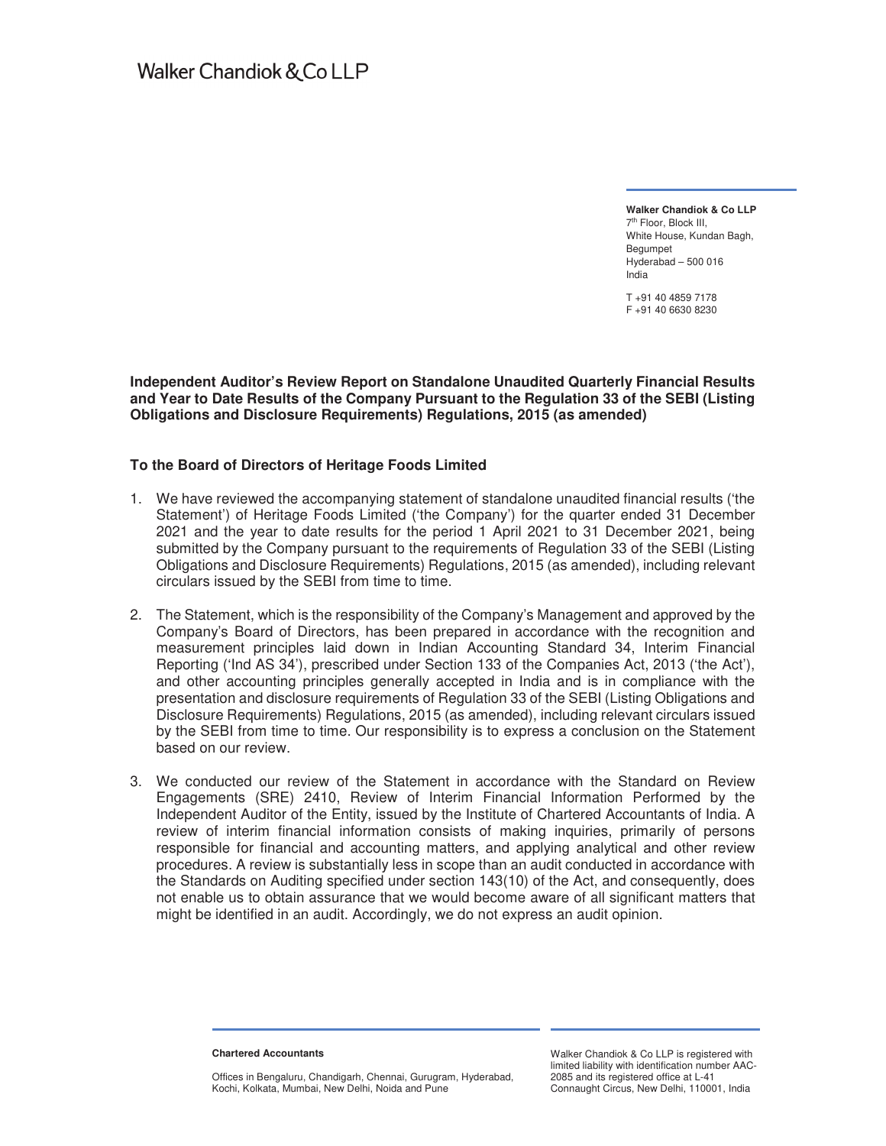**Walker Chandiok & Co LLP**  7th Floor, Block III, White House, Kundan Bagh, Begumpet Hyderabad – 500 016 India

T +91 40 4859 7178 F +91 40 6630 8230

**Independent Auditor's Review Report on Standalone Unaudited Quarterly Financial Results and Year to Date Results of the Company Pursuant to the Regulation 33 of the SEBI (Listing Obligations and Disclosure Requirements) Regulations, 2015 (as amended)** 

#### **To the Board of Directors of Heritage Foods Limited**

- 1. We have reviewed the accompanying statement of standalone unaudited financial results ('the Statement') of Heritage Foods Limited ('the Company') for the quarter ended 31 December 2021 and the year to date results for the period 1 April 2021 to 31 December 2021, being submitted by the Company pursuant to the requirements of Regulation 33 of the SEBI (Listing Obligations and Disclosure Requirements) Regulations, 2015 (as amended), including relevant circulars issued by the SEBI from time to time.
- 2. The Statement, which is the responsibility of the Company's Management and approved by the Company's Board of Directors, has been prepared in accordance with the recognition and measurement principles laid down in Indian Accounting Standard 34, Interim Financial Reporting ('Ind AS 34'), prescribed under Section 133 of the Companies Act, 2013 ('the Act'), and other accounting principles generally accepted in India and is in compliance with the presentation and disclosure requirements of Regulation 33 of the SEBI (Listing Obligations and Disclosure Requirements) Regulations, 2015 (as amended), including relevant circulars issued by the SEBI from time to time. Our responsibility is to express a conclusion on the Statement based on our review.
- 3. We conducted our review of the Statement in accordance with the Standard on Review Engagements (SRE) 2410, Review of Interim Financial Information Performed by the Independent Auditor of the Entity, issued by the Institute of Chartered Accountants of India. A review of interim financial information consists of making inquiries, primarily of persons responsible for financial and accounting matters, and applying analytical and other review procedures. A review is substantially less in scope than an audit conducted in accordance with the Standards on Auditing specified under section 143(10) of the Act, and consequently, does not enable us to obtain assurance that we would become aware of all significant matters that might be identified in an audit. Accordingly, we do not express an audit opinion.

**Chartered Accountants** 

Offices in Bengaluru, Chandigarh, Chennai, Gurugram, Hyderabad, Kochi, Kolkata, Mumbai, New Delhi, Noida and Pune

Walker Chandiok & Co LLP is registered with limited liability with identification number AAC-2085 and its registered office at L-41 Connaught Circus, New Delhi, 110001, India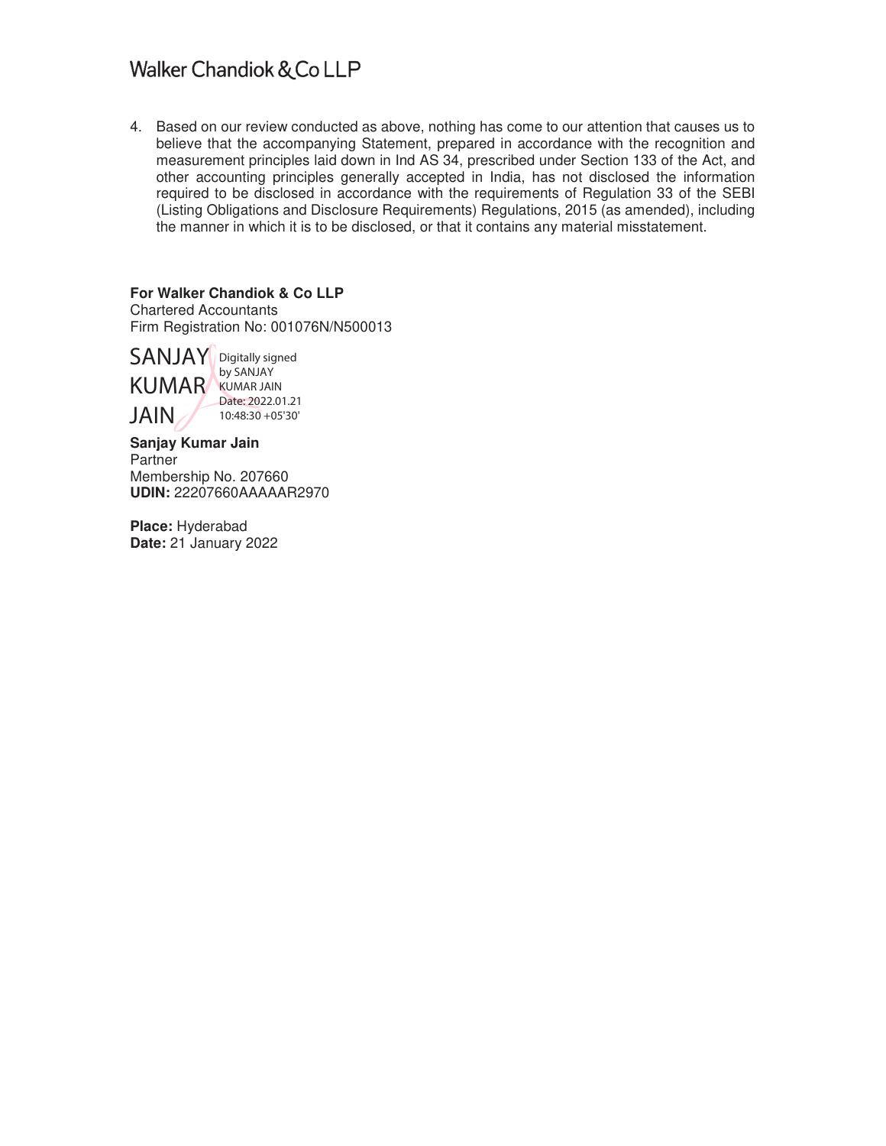## Walker Chandiok & Co LLP

4. Based on our review conducted as above, nothing has come to our attention that causes us to believe that the accompanying Statement, prepared in accordance with the recognition and measurement principles laid down in Ind AS 34, prescribed under Section 133 of the Act, and other accounting principles generally accepted in India, has not disclosed the information required to be disclosed in accordance with the requirements of Regulation 33 of the SEBI (Listing Obligations and Disclosure Requirements) Regulations, 2015 (as amended), including the manner in which it is to be disclosed, or that it contains any material misstatement.

**For Walker Chandiok & Co LLP**  Chartered Accountants Firm Registration No: 001076N/N500013

SANJAY Digitally signed KUMAR JAIN by SANJAY KUMAR JAIN Date: 2022.01.21 10:48:30 +05'30'

**Sanjay Kumar Jain**  Partner Membership No. 207660 **UDIN:** 22207660AAAAAR2970

**Place:** Hyderabad **Date:** 21 January 2022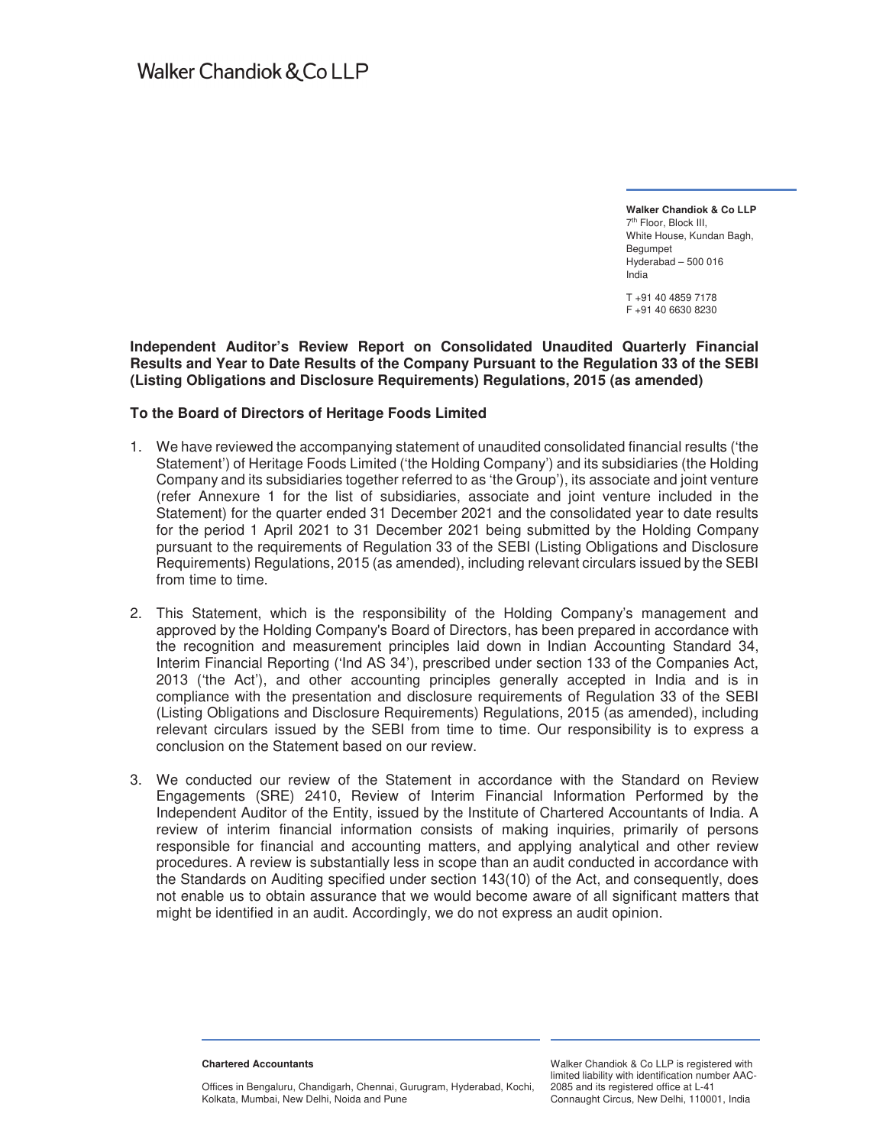**Walker Chandiok & Co LLP**  7th Floor, Block III, White House, Kundan Bagh, Begumpet Hyderabad – 500 016 India

T +91 40 4859 7178 F +91 40 6630 8230

#### **Independent Auditor's Review Report on Consolidated Unaudited Quarterly Financial Results and Year to Date Results of the Company Pursuant to the Regulation 33 of the SEBI (Listing Obligations and Disclosure Requirements) Regulations, 2015 (as amended)**

### **To the Board of Directors of Heritage Foods Limited**

- 1. We have reviewed the accompanying statement of unaudited consolidated financial results ('the Statement') of Heritage Foods Limited ('the Holding Company') and its subsidiaries (the Holding Company and its subsidiaries together referred to as 'the Group'), its associate and joint venture (refer Annexure 1 for the list of subsidiaries, associate and joint venture included in the Statement) for the quarter ended 31 December 2021 and the consolidated year to date results for the period 1 April 2021 to 31 December 2021 being submitted by the Holding Company pursuant to the requirements of Regulation 33 of the SEBI (Listing Obligations and Disclosure Requirements) Regulations, 2015 (as amended), including relevant circulars issued by the SEBI from time to time.
- 2. This Statement, which is the responsibility of the Holding Company's management and approved by the Holding Company's Board of Directors, has been prepared in accordance with the recognition and measurement principles laid down in Indian Accounting Standard 34, Interim Financial Reporting ('Ind AS 34'), prescribed under section 133 of the Companies Act, 2013 ('the Act'), and other accounting principles generally accepted in India and is in compliance with the presentation and disclosure requirements of Regulation 33 of the SEBI (Listing Obligations and Disclosure Requirements) Regulations, 2015 (as amended), including relevant circulars issued by the SEBI from time to time. Our responsibility is to express a conclusion on the Statement based on our review.
- 3. We conducted our review of the Statement in accordance with the Standard on Review Engagements (SRE) 2410, Review of Interim Financial Information Performed by the Independent Auditor of the Entity, issued by the Institute of Chartered Accountants of India. A review of interim financial information consists of making inquiries, primarily of persons responsible for financial and accounting matters, and applying analytical and other review procedures. A review is substantially less in scope than an audit conducted in accordance with the Standards on Auditing specified under section 143(10) of the Act, and consequently, does not enable us to obtain assurance that we would become aware of all significant matters that might be identified in an audit. Accordingly, we do not express an audit opinion.

**Chartered Accountants** 

Offices in Bengaluru, Chandigarh, Chennai, Gurugram, Hyderabad, Kochi, Kolkata, Mumbai, New Delhi, Noida and Pune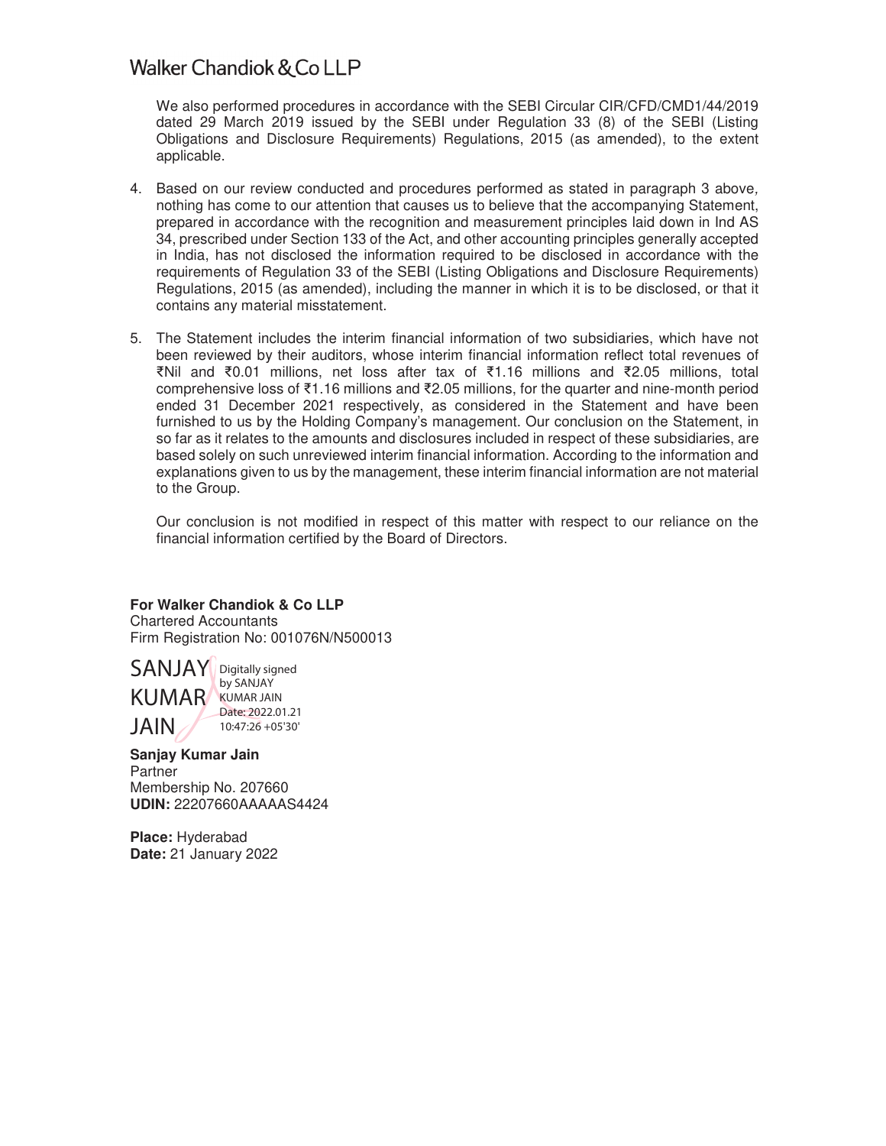## Walker Chandiok & Co LLP

We also performed procedures in accordance with the SEBI Circular CIR/CFD/CMD1/44/2019 dated 29 March 2019 issued by the SEBI under Regulation 33 (8) of the SEBI (Listing Obligations and Disclosure Requirements) Regulations, 2015 (as amended), to the extent applicable.

- 4. Based on our review conducted and procedures performed as stated in paragraph 3 above, nothing has come to our attention that causes us to believe that the accompanying Statement, prepared in accordance with the recognition and measurement principles laid down in Ind AS 34, prescribed under Section 133 of the Act, and other accounting principles generally accepted in India, has not disclosed the information required to be disclosed in accordance with the requirements of Regulation 33 of the SEBI (Listing Obligations and Disclosure Requirements) Regulations, 2015 (as amended), including the manner in which it is to be disclosed, or that it contains any material misstatement.
- 5. The Statement includes the interim financial information of two subsidiaries, which have not been reviewed by their auditors, whose interim financial information reflect total revenues of ൠNil and ൠ0.01 millions, net loss after tax of ൠ1.16 millions and ൠ2.05 millions, total comprehensive loss of  $\text{\textsterling}1.16$  millions and  $\text{\textsterling}2.05$  millions, for the quarter and nine-month period ended 31 December 2021 respectively, as considered in the Statement and have been furnished to us by the Holding Company's management. Our conclusion on the Statement, in so far as it relates to the amounts and disclosures included in respect of these subsidiaries, are based solely on such unreviewed interim financial information. According to the information and explanations given to us by the management, these interim financial information are not material to the Group.

Our conclusion is not modified in respect of this matter with respect to our reliance on the financial information certified by the Board of Directors.

## **For Walker Chandiok & Co LLP**

Chartered Accountants Firm Registration No: 001076N/N500013



by SANJAY Date: 2022.01.21 10:47:26 +05'30'

**Sanjay Kumar Jain Partner** Membership No. 207660 **UDIN:** 22207660AAAAAS4424

**Place:** Hyderabad **Date:** 21 January 2022